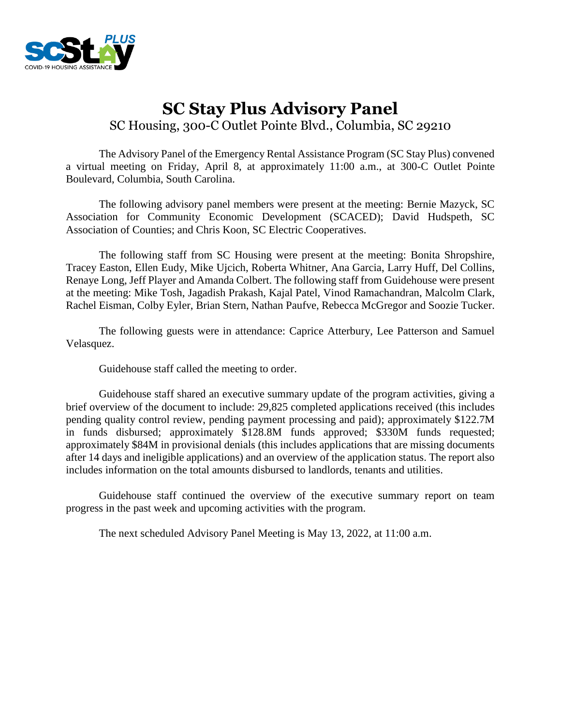

# **SC Stay Plus Advisory Panel** SC Housing, 300-C Outlet Pointe Blvd., Columbia, SC 29210

The Advisory Panel of the Emergency Rental Assistance Program (SC Stay Plus) convened a virtual meeting on Friday, April 8, at approximately 11:00 a.m., at 300-C Outlet Pointe Boulevard, Columbia, South Carolina.

The following advisory panel members were present at the meeting: Bernie Mazyck, SC Association for Community Economic Development (SCACED); David Hudspeth, SC Association of Counties; and Chris Koon, SC Electric Cooperatives.

The following staff from SC Housing were present at the meeting: Bonita Shropshire, Tracey Easton, Ellen Eudy, Mike Ujcich, Roberta Whitner, Ana Garcia, Larry Huff, Del Collins, Renaye Long, Jeff Player and Amanda Colbert. The following staff from Guidehouse were present at the meeting: Mike Tosh, Jagadish Prakash, Kajal Patel, Vinod Ramachandran, Malcolm Clark, Rachel Eisman, Colby Eyler, Brian Stern, Nathan Paufve, Rebecca McGregor and Soozie Tucker.

The following guests were in attendance: Caprice Atterbury, Lee Patterson and Samuel Velasquez.

Guidehouse staff called the meeting to order.

Guidehouse staff shared an executive summary update of the program activities, giving a brief overview of the document to include: 29,825 completed applications received (this includes pending quality control review, pending payment processing and paid); approximately \$122.7M in funds disbursed; approximately \$128.8M funds approved; \$330M funds requested; approximately \$84M in provisional denials (this includes applications that are missing documents after 14 days and ineligible applications) and an overview of the application status. The report also includes information on the total amounts disbursed to landlords, tenants and utilities.

Guidehouse staff continued the overview of the executive summary report on team progress in the past week and upcoming activities with the program.

The next scheduled Advisory Panel Meeting is May 13, 2022, at 11:00 a.m.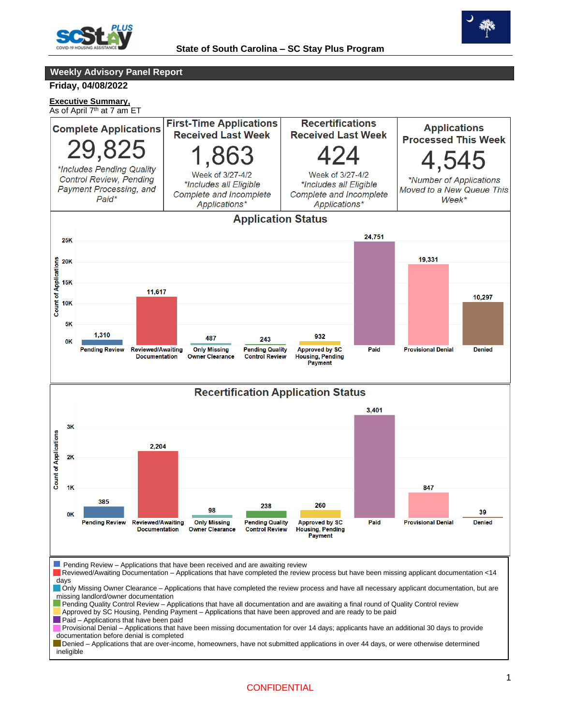



**Weekly Advisory Panel Report**

#### **Friday, 04/08/2022**

**Executive Summary,**

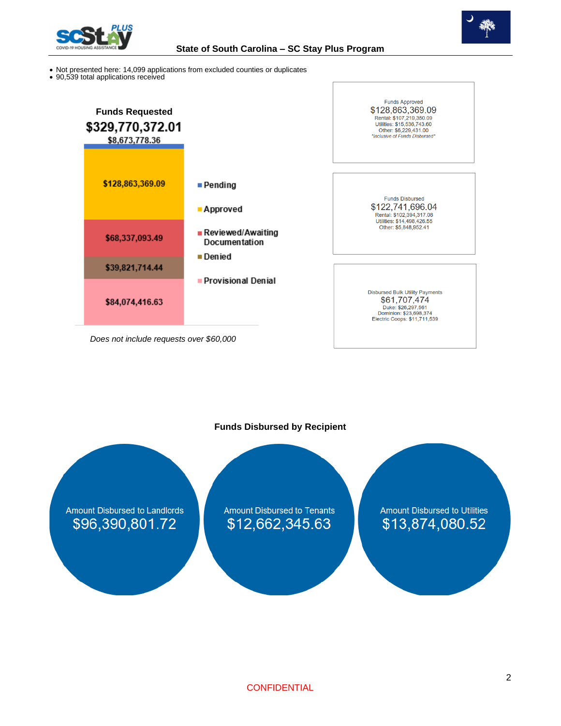



- Not presented here: 14,099 applications from excluded counties or duplicates
- 90,539 total applications received



**Funds Disbursed by Recipient**

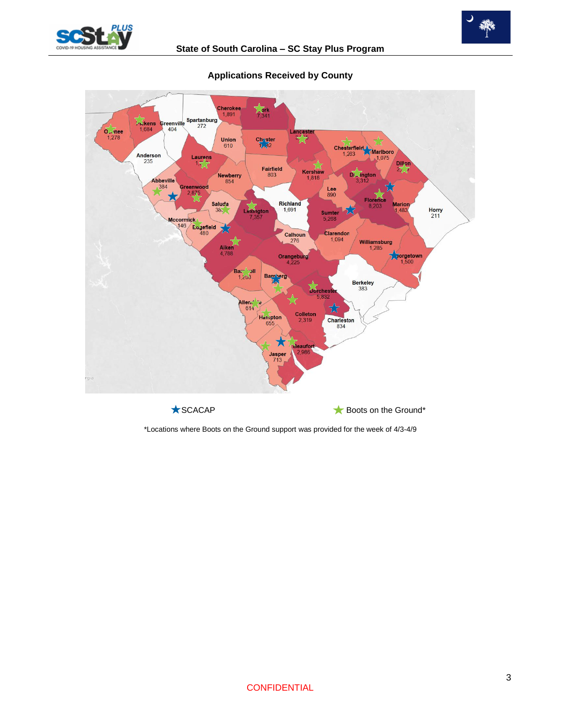



**Applications Received by County**

\*Locations where Boots on the Ground support was provided for the week of 4/3-4/9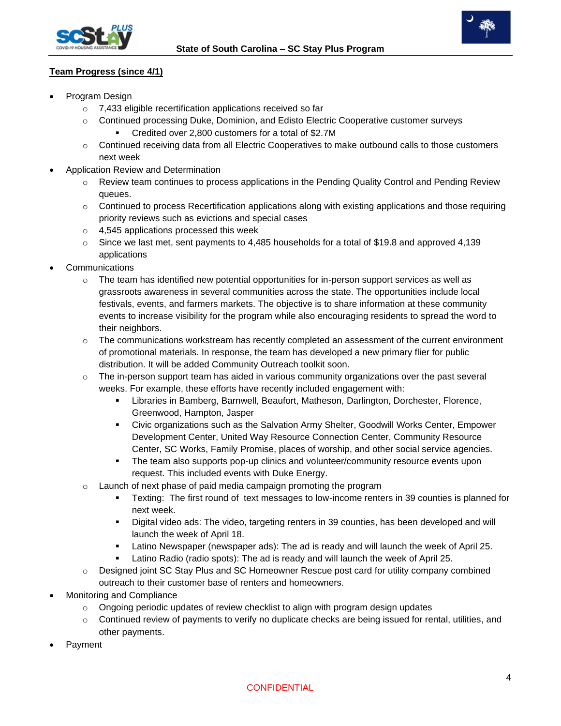



# **Team Progress (since 4/1)**

- Program Design
	- o 7,433 eligible recertification applications received so far
	- o Continued processing Duke, Dominion, and Edisto Electric Cooperative customer surveys ■ Credited over 2,800 customers for a total of \$2.7M
	- $\circ$  Continued receiving data from all Electric Cooperatives to make outbound calls to those customers next week
- Application Review and Determination
	- Review team continues to process applications in the Pending Quality Control and Pending Review queues.
	- o Continued to process Recertification applications along with existing applications and those requiring priority reviews such as evictions and special cases
	- o 4,545 applications processed this week
	- $\circ$  Since we last met, sent payments to 4,485 households for a total of \$19.8 and approved 4,139 applications
- **Communications** 
	- o The team has identified new potential opportunities for in-person support services as well as grassroots awareness in several communities across the state. The opportunities include local festivals, events, and farmers markets. The objective is to share information at these community events to increase visibility for the program while also encouraging residents to spread the word to their neighbors.
	- $\circ$  The communications workstream has recently completed an assessment of the current environment of promotional materials. In response, the team has developed a new primary flier for public distribution. It will be added Community Outreach toolkit soon.
	- $\circ$  The in-person support team has aided in various community organizations over the past several weeks. For example, these efforts have recently included engagement with:
		- **EXEDENT EXEDERT EXEDERT IN A THE STARK IN BRANGER IN BRANGER IN BRANGER IN BRANGER.** Florence, Greenwood, Hampton, Jasper
		- Civic organizations such as the Salvation Army Shelter, Goodwill Works Center, Empower Development Center, United Way Resource Connection Center, Community Resource Center, SC Works, Family Promise, places of worship, and other social service agencies.
		- **•** The team also supports pop-up clinics and volunteer/community resource events upon request. This included events with Duke Energy.
	- Launch of next phase of paid media campaign promoting the program
		- **EXALUANEE:** The first round of text messages to low-income renters in 39 counties is planned for next week.
		- Digital video ads: The video, targeting renters in 39 counties, has been developed and will launch the week of April 18.
		- Latino Newspaper (newspaper ads): The ad is ready and will launch the week of April 25.
		- Latino Radio (radio spots): The ad is ready and will launch the week of April 25.
	- o Designed joint SC Stay Plus and SC Homeowner Rescue post card for utility company combined outreach to their customer base of renters and homeowners.
- Monitoring and Compliance
	- $\circ$  Ongoing periodic updates of review checklist to align with program design updates
	- o Continued review of payments to verify no duplicate checks are being issued for rental, utilities, and other payments.
- Payment